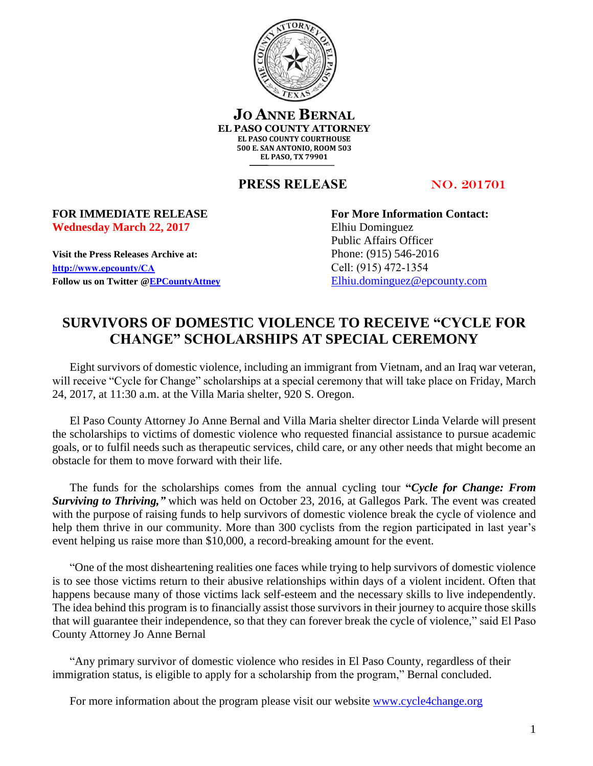

**JO ANNE BERNAL EL PASO COUNTY ATTORNEY EL PASO COUNTY COURTHOUSE 500 E. SAN ANTONIO, ROOM 503 EL PASO, TX 79901**

**PRESS RELEASE NO. 201701** 

## **Wednesday March 22, 2017** Elhiu Dominguez

**Visit the Press Releases Archive at:** Phone: (915) 546-2016 **[http://www.epcounty/CA](http://www.epcounty/CA/releases.htm)** Cell: (915) 472-1354 Follow us on Twitter  $@EPC$ ountyAttney [Elhiu.dominguez@epcounty.com](mailto:Elhiu.dominguez@epcounty.com)

**FOR IMMEDIATE RELEASE For More Information Contact:** Public Affairs Officer

## **SURVIVORS OF DOMESTIC VIOLENCE TO RECEIVE "CYCLE FOR CHANGE" SCHOLARSHIPS AT SPECIAL CEREMONY**

Eight survivors of domestic violence, including an immigrant from Vietnam, and an Iraq war veteran, will receive "Cycle for Change" scholarships at a special ceremony that will take place on Friday, March 24, 2017, at 11:30 a.m. at the Villa Maria shelter, 920 S. Oregon.

El Paso County Attorney Jo Anne Bernal and Villa Maria shelter director Linda Velarde will present the scholarships to victims of domestic violence who requested financial assistance to pursue academic goals, or to fulfil needs such as therapeutic services, child care, or any other needs that might become an obstacle for them to move forward with their life.

The funds for the scholarships comes from the annual cycling tour **"***Cycle for Change: From Surviving to Thriving,"* which was held on October 23, 2016, at Gallegos Park. The event was created with the purpose of raising funds to help survivors of domestic violence break the cycle of violence and help them thrive in our community. More than 300 cyclists from the region participated in last year's event helping us raise more than \$10,000, a record-breaking amount for the event.

"One of the most disheartening realities one faces while trying to help survivors of domestic violence is to see those victims return to their abusive relationships within days of a violent incident. Often that happens because many of those victims lack self-esteem and the necessary skills to live independently. The idea behind this program is to financially assist those survivors in their journey to acquire those skills that will guarantee their independence, so that they can forever break the cycle of violence," said El Paso County Attorney Jo Anne Bernal

"Any primary survivor of domestic violence who resides in El Paso County, regardless of their immigration status, is eligible to apply for a scholarship from the program," Bernal concluded.

For more information about the program please visit our website [www.cycle4change.org](http://www.cycle4change.org/)